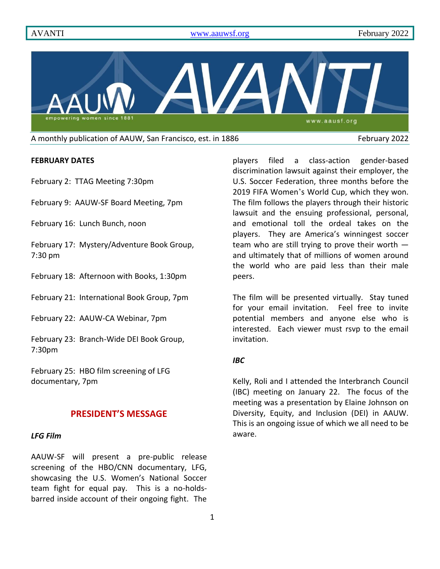

A monthly publication of AAUW, San Francisco, est. in 1886 February 2022

### **FEBRUARY DATES**

February 2: TTAG Meeting 7:30pm

February 9: AAUW-SF Board Meeting, 7pm

February 16: Lunch Bunch, noon

February 17: Mystery/Adventure Book Group, 7:30 pm

February 18: Afternoon with Books, 1:30pm

February 21: International Book Group, 7pm

February 22: AAUW-CA Webinar, 7pm

February 23: Branch-Wide DEI Book Group, 7:30pm

February 25: HBO film screening of LFG documentary, 7pm

## **PRESIDENT'S MESSAGE**

## *LFG Film*

AAUW-SF will present a pre-public release screening of the HBO/CNN documentary, LFG, showcasing the U.S. Women's National Soccer team fight for equal pay. This is a no-holdsbarred inside account of their ongoing fight. The players filed a class-action gender-based discrimination lawsuit against their employer, the U.S. Soccer Federation, three months before the 2019 FIFA Women's World Cup, which they won. The film follows the players through their historic lawsuit and the ensuing professional, personal, and emotional toll the ordeal takes on the players. They are America's winningest soccer team who are still trying to prove their worth  $$ and ultimately that of millions of women around the world who are paid less than their male peers.

The film will be presented virtually. Stay tuned for your email invitation. Feel free to invite potential members and anyone else who is interested. Each viewer must rsvp to the email invitation.

## *IBC*

Kelly, Roli and I attended the Interbranch Council (IBC) meeting on January 22. The focus of the meeting was a presentation by Elaine Johnson on Diversity, Equity, and Inclusion (DEI) in AAUW. This is an ongoing issue of which we all need to be aware.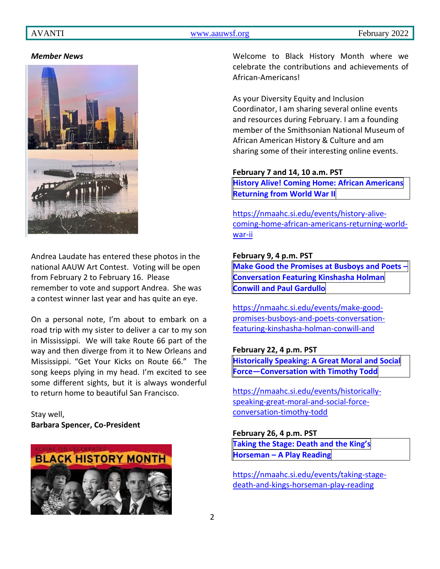## AVANTI [www.aauwsf.org](http://www.aauwsf.org/) February 2022

#### *Member News*



Andrea Laudate has entered these photos in the national AAUW Art Contest. Voting will be open from February 2 to February 16. Please remember to vote and support Andrea. She was a contest winner last year and has quite an eye.

On a personal note, I'm about to embark on a road trip with my sister to deliver a car to my son in Mississippi. We will take Route 66 part of the way and then diverge from it to New Orleans and Mississippi. "Get Your Kicks on Route 66." The song keeps plying in my head. I'm excited to see some different sights, but it is always wonderful to return home to beautiful San Francisco.

Stay well, **Barbara Spencer, Co-President**



Welcome to Black History Month where we celebrate the contributions and achievements of African-Americans!

As your Diversity Equity and Inclusion Coordinator, I am sharing several online events and resources during February. I am a founding member of the Smithsonian National Museum of African American History & Culture and am sharing some of their interesting online events.

#### **February 7 and 14, 10 a.m. PST**

**History Alive! Coming Home: African [Americans](https://nmaahc.si.edu/events/history-alive-coming-home-african-americans-returning-world-war-ii) [Returning](https://nmaahc.si.edu/events/history-alive-coming-home-african-americans-returning-world-war-ii) from World War II**

[https://nmaahc.si.edu/events/history-alive](https://nmaahc.si.edu/events/history-alive-coming-home-african-americans-returning-world-war-ii)[coming-home-african-americans-returning-world](https://nmaahc.si.edu/events/history-alive-coming-home-african-americans-returning-world-war-ii)[war-ii](https://nmaahc.si.edu/events/history-alive-coming-home-african-americans-returning-world-war-ii)

#### **February 9, 4 p.m. PST**

**Make Good the [Promises](https://nmaahc.si.edu/events/make-good-promises-busboys-and-poets-conversation-featuring-kinshasha-holman-conwill-and) at Busboys and Poets – [Conversation](https://nmaahc.si.edu/events/make-good-promises-busboys-and-poets-conversation-featuring-kinshasha-holman-conwill-and) Featuring Kinshasha Holman Conwill and Paul [Gardullo](https://nmaahc.si.edu/events/make-good-promises-busboys-and-poets-conversation-featuring-kinshasha-holman-conwill-and)**

[https://nmaahc.si.edu/events/make-good](https://nmaahc.si.edu/events/make-good-promises-busboys-and-poets-conversation-featuring-kinshasha-holman-conwill-and)[promises-busboys-and-poets-conversation](https://nmaahc.si.edu/events/make-good-promises-busboys-and-poets-conversation-featuring-kinshasha-holman-conwill-and)[featuring-kinshasha-holman-conwill-and](https://nmaahc.si.edu/events/make-good-promises-busboys-and-poets-conversation-featuring-kinshasha-holman-conwill-and)

#### **February 22, 4 p.m. PST**

**[Historically](https://nmaahc.si.edu/events/historically-speaking-great-moral-and-social-force-conversation-timothy-todd) Speaking: A Great Moral and Social Force—[Conversation](https://nmaahc.si.edu/events/historically-speaking-great-moral-and-social-force-conversation-timothy-todd) with Timothy Todd**

[https://nmaahc.si.edu/events/historically](https://nmaahc.si.edu/events/historically-speaking-great-moral-and-social-force-conversation-timothy-todd)[speaking-great-moral-and-social-force](https://nmaahc.si.edu/events/historically-speaking-great-moral-and-social-force-conversation-timothy-todd)[conversation-timothy-todd](https://nmaahc.si.edu/events/historically-speaking-great-moral-and-social-force-conversation-timothy-todd)

## **February 26, 4 p.m. PST**

**[Taking](https://nmaahc.si.edu/events/taking-stage-death-and-kings-horseman-play-reading) the Stage: Death and the King's [Horseman](https://nmaahc.si.edu/events/taking-stage-death-and-kings-horseman-play-reading) – A Play Reading**

[https://nmaahc.si.edu/events/taking-stage](https://nmaahc.si.edu/events/taking-stage-death-and-kings-horseman-play-reading)[death-and-kings-horseman-play-reading](https://nmaahc.si.edu/events/taking-stage-death-and-kings-horseman-play-reading)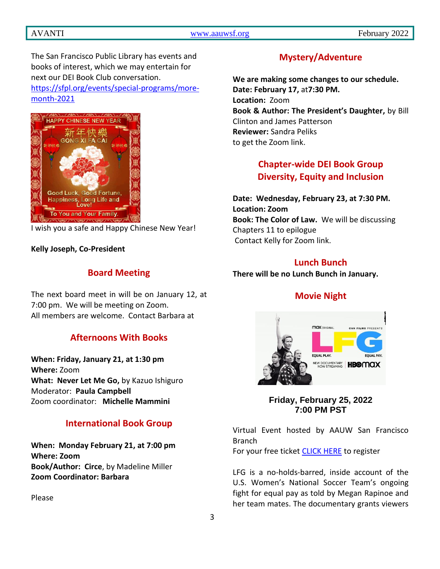# AVANTI [www.aauwsf.org](http://www.aauwsf.org/) February 2022

The San Francisco Public Library has events and books of interest, which we may entertain for next our DEI Book Club conversation. [https://sfpl.org/events/special-programs/more](https://sfpl.org/events/special-programs/more-month-2021)[month-2021](https://sfpl.org/events/special-programs/more-month-2021)



I wish you a safe and Happy Chinese New Year!

## **Kelly Joseph, Co-President**

# **Board Meeting**

The next board meet in will be on January 12, at 7:00 pm. We will be meeting on Zoom. All members are welcome. Contact Barbara at

# **Afternoons With Books**

**When: Friday, January 21, at 1:30 pm Where:** Zoom **What: Never Let Me Go,** by Kazuo Ishiguro Moderator: **Paula Campbell** Zoom coordinator: **Michelle Mammini**

# **International Book Group**

**When: Monday February 21, at 7:00 pm Where: Zoom Book/Author: Circe**, by Madeline Miller **Zoom Coordinator: Barbara**

Please

# **Mystery/Adventure**

**We are making some changes to our schedule. Date: February 17,** at**7:30 PM. Location:** Zoom **Book & Author: The President's Daughter,** by Bill Clinton and James Patterson **Reviewer:** Sandra Peliks to get the Zoom link.

# **Chapter-wide DEI Book Group Diversity, Equity and Inclusion**

**Date: Wednesday, February 23, at 7:30 PM. Location: Zoom Book: The Color of Law.** We will be discussing Chapters 11 to epilogue Contact Kelly for Zoom link.

# **Lunch Bunch**

**There will be no Lunch Bunch in January.**

# **Movie Night**



**Friday, February 25, 2022 7:00 PM PST**

Virtual Event hosted by AAUW San Francisco **Branch** 

For your free ticket [CLICK HERE](https://www.eventbrite.com/e/film-screening-lfg-equal-play-equal-pay-tickets-258344504367) to register

LFG is a no-holds-barred, inside account of the U.S. Women's National Soccer Team's ongoing fight for equal pay as told by Megan Rapinoe and her team mates. The documentary grants viewers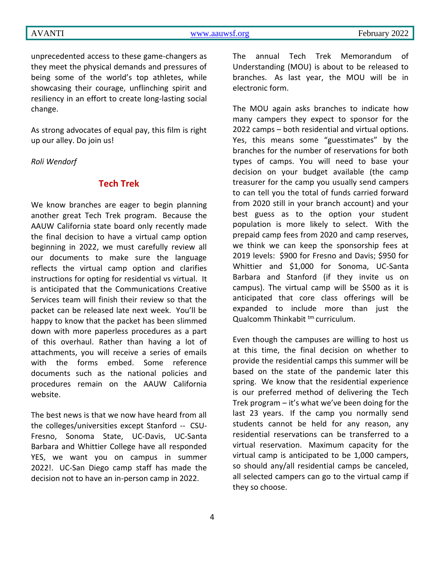unprecedented access to these game-changers as they meet the physical demands and pressures of being some of the world's top athletes, while showcasing their courage, unflinching spirit and resiliency in an effort to create long-lasting social change.

As strong advocates of equal pay, this film is right up our alley. Do join us!

*Roli Wendorf*

# **Tech Trek**

We know branches are eager to begin planning another great Tech Trek program. Because the AAUW California state board only recently made the final decision to have a virtual camp option beginning in 2022, we must carefully review all our documents to make sure the language reflects the virtual camp option and clarifies instructions for opting for residential vs virtual. It is anticipated that the Communications Creative Services team will finish their review so that the packet can be released late next week. You'll be happy to know that the packet has been slimmed down with more paperless procedures as a part of this overhaul. Rather than having a lot of attachments, you will receive a series of emails with the forms embed. Some reference documents such as the national policies and procedures remain on the AAUW California website.

The best news is that we now have heard from all the colleges/universities except Stanford -- CSU-Fresno, Sonoma State, UC-Davis, UC-Santa Barbara and Whittier College have all responded YES, we want you on campus in summer 2022!. UC-San Diego camp staff has made the decision not to have an in-person camp in 2022.

The annual Tech Trek Memorandum of Understanding (MOU) is about to be released to branches. As last year, the MOU will be in electronic form.

The MOU again asks branches to indicate how many campers they expect to sponsor for the 2022 camps – both residential and virtual options. Yes, this means some "guesstimates" by the branches for the number of reservations for both types of camps. You will need to base your decision on your budget available (the camp treasurer for the camp you usually send campers to can tell you the total of funds carried forward from 2020 still in your branch account) and your best guess as to the option your student population is more likely to select. With the prepaid camp fees from 2020 and camp reserves, we think we can keep the sponsorship fees at 2019 levels: \$900 for Fresno and Davis; \$950 for Whittier and \$1,000 for Sonoma, UC-Santa Barbara and Stanford (if they invite us on campus). The virtual camp will be \$500 as it is anticipated that core class offerings will be expanded to include more than just the Qualcomm Thinkabit <sup>tm</sup> curriculum.

Even though the campuses are willing to host us at this time, the final decision on whether to provide the residential camps this summer will be based on the state of the pandemic later this spring. We know that the residential experience is our preferred method of delivering the Tech Trek program – it's what we've been doing for the last 23 years. If the camp you normally send students cannot be held for any reason, any residential reservations can be transferred to a virtual reservation. Maximum capacity for the virtual camp is anticipated to be 1,000 campers, so should any/all residential camps be canceled, all selected campers can go to the virtual camp if they so choose.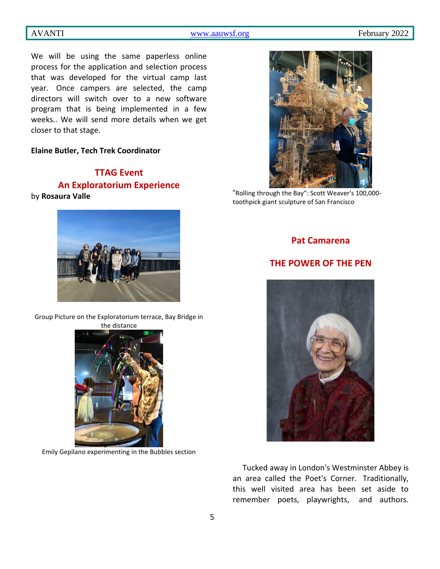AVANTI [www.aauwsf.org](http://www.aauwsf.org/) February 2022

We will be using the same paperless online process for the application and selection process that was developed for the virtual camp last year. Once campers are selected, the camp directors will switch over to a new software program that is being implemented in a few weeks.. We will send more details when we get closer to that stage.

## **Elaine Butler, Tech Trek Coordinator**

# **TTAG Event An Exploratorium Experience** by **Rosaura Valle**



Group Picture on the Exploratorium terrace, Bay Bridge in



Emily Gepilano experimenting in the Bubbles section



"Rolling through the Bay": Scott Weaver's 100,000 toothpick giant sculpture of San Francisco

## **Pat Camarena**

# **THE POWER OF THE PEN**



Tucked away in London's Westminster Abbey is an area called the Poet's Corner. Traditionally, this well visited area has been set aside to remember poets, playwrights, and authors.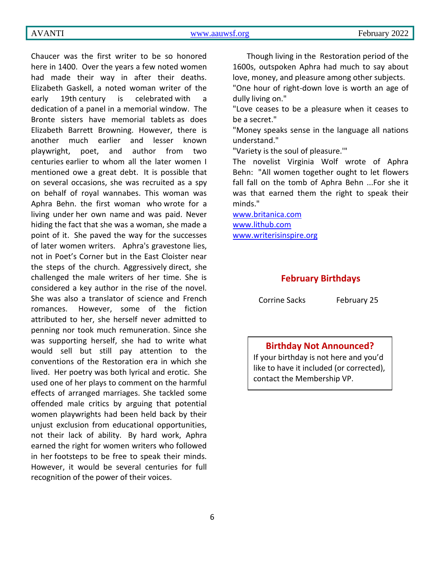Chaucer was the first writer to be so honored here in 1400. Over the years a few noted women had made their way in after their deaths. Elizabeth Gaskell, a noted woman writer of the early 19th century is celebrated with a dedication of a panel in a memorial window. The Bronte sisters have memorial tablets as does Elizabeth Barrett Browning. However, there is another much earlier and lesser known playwright, poet, and author from two centuries earlier to whom all the later women I mentioned owe a great debt. It is possible that on several occasions, she was recruited as a spy on behalf of royal wannabes. This woman was Aphra Behn. the first woman who wrote for a living under her own name and was paid. Never hiding the fact that she was a woman, she made a point of it. She paved the way for the successes of later women writers. Aphra's gravestone lies, not in Poet's Corner but in the East Cloister near the steps of the church. Aggressively direct, she challenged the male writers of her time. She is considered a key author in the rise of the novel. She was also a translator of science and French romances. However, some of the fiction attributed to her, she herself never admitted to penning nor took much remuneration. Since she was supporting herself, she had to write what would sell but still pay attention to the conventions of the Restoration era in which she lived. Her poetry was both lyrical and erotic. She used one of her plays to comment on the harmful effects of arranged marriages. She tackled some offended male critics by arguing that potential women playwrights had been held back by their unjust exclusion from educational opportunities, not their lack of ability. By hard work, Aphra earned the right for women writers who followed in her footsteps to be free to speak their minds. However, it would be several centuries for full recognition of the power of their voices.

Though living in the Restoration period of the 1600s, outspoken Aphra had much to say about love, money, and pleasure among other subjects.

"One hour of right-down love is worth an age of dully living on."

"Love ceases to be a pleasure when it ceases to be a secret."

"Money speaks sense in the language all nations understand."

"Variety is the soul of pleasure.'"

The novelist Virginia Wolf wrote of Aphra Behn: "All women together ought to let flowers fall fall on the tomb of Aphra Behn ...For she it was that earned them the right to speak their minds."

[www.britanica.com](http://www.britanica.com/) [www.lithub.com](http://www.lithub.com/) [www.writerisinspire.org](http://www.writerisinspire.org/)

### **February Birthdays**

Corrine Sacks February 25

# **Birthday Not Announced?**

If your birthday is not here and you'd like to have it included (or corrected), contact the Membership VP.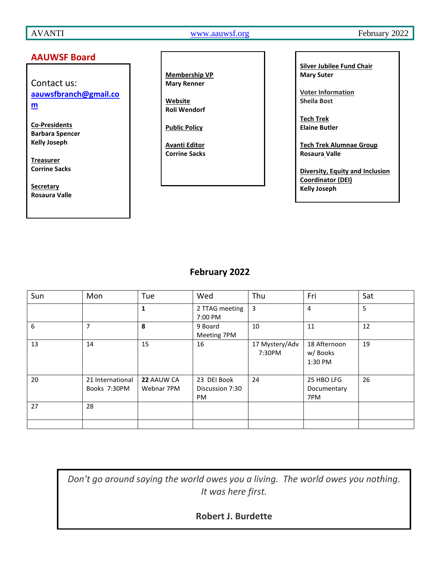AVANTI [www.aauwsf.org](http://www.aauwsf.org/) February 2022

## **AAUWSF Board**

Contact us: **[aauwsfbranch@gmail.co](file:///C:/Users/Corrine/Documents/Avanti/aauwsfbranch@gmail.com) [m](file:///C:/Users/Corrine/Documents/Avanti/aauwsfbranch@gmail.com)**

**Co-Presidents Barbara Spencer Kelly Joseph**

**Treasurer Corrine Sacks**

**Secretary Rosaura Valle** **Membership VP Mary Renner**

**Website Roli Wendorf**

**Public Policy**

**Avanti Editor Corrine Sacks** **Silver Jubilee Fund Chair Mary Suter**

**Voter Information Sheila Bost**

**Tech Trek Elaine Butler**

**Tech Trek Alumnae Group Rosaura Valle**

**Diversity, Equity and Inclusion Coordinator (DEI) Kelly Joseph**

# **February 2022**

| Sun | Mon                              | Tue                      | Wed                                         | Thu                      | Fri                                 | Sat |
|-----|----------------------------------|--------------------------|---------------------------------------------|--------------------------|-------------------------------------|-----|
|     |                                  | $\mathbf{1}$             | 2 TTAG meeting<br>7:00 PM                   | 3                        | $\overline{4}$                      | 5   |
| 6   | 7                                | 8                        | 9 Board<br>Meeting 7PM                      | 10                       | 11                                  | 12  |
| 13  | 14                               | 15                       | 16                                          | 17 Mystery/Adv<br>7:30PM | 18 Afternoon<br>w/ Books<br>1:30 PM | 19  |
| 20  | 21 International<br>Books 7:30PM | 22 AAUW CA<br>Webnar 7PM | 23 DEI Book<br>Discussion 7:30<br><b>PM</b> | 24                       | 25 HBO LFG<br>Documentary<br>7PM    | 26  |
| 27  | 28                               |                          |                                             |                          |                                     |     |
|     |                                  |                          |                                             |                          |                                     |     |

*Don't go around saying the world owes you a living. The world owes you nothing. It was here first.*

7 **Robert J. Burdette**